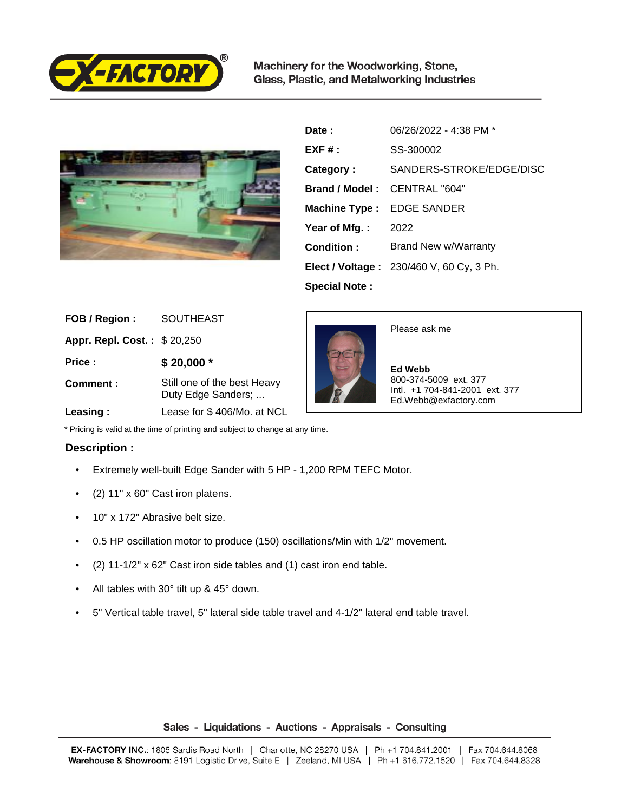

Machinery for the Woodworking, Stone, Glass, Plastic, and Metalworking Industries



| Date:                        | 06/26/2022 - 4:38 PM *                          |
|------------------------------|-------------------------------------------------|
| $EXF#$ :                     | SS-300002                                       |
| Category:                    | SANDERS-STROKE/EDGE/DISC                        |
| Brand / Model: CENTRAL "604" |                                                 |
| <b>Machine Type:</b>         | <b>EDGE SANDER</b>                              |
| Year of Mfg.:                | 2022                                            |
| Condition:                   | Brand New w/Warranty                            |
|                              | <b>Elect / Voltage: 230/460 V, 60 Cy, 3 Ph.</b> |
| <b>Special Note:</b>         |                                                 |

| FOB / Region:               | <b>SOUTHEAST</b>                                                                                                                                                                                                                                                                                                                   |
|-----------------------------|------------------------------------------------------------------------------------------------------------------------------------------------------------------------------------------------------------------------------------------------------------------------------------------------------------------------------------|
| Appr. Repl. Cost.: \$20,250 |                                                                                                                                                                                                                                                                                                                                    |
| Price :                     | $$20,000*$                                                                                                                                                                                                                                                                                                                         |
| Comment:                    | Still one of the best Heavy<br>Duty Edge Sanders;                                                                                                                                                                                                                                                                                  |
|                             | $\mathbf{L}$ $\mathbf{L}$ $\mathbf{L}$ $\mathbf{L}$ $\mathbf{L}$ $\mathbf{L}$ $\mathbf{L}$ $\mathbf{L}$ $\mathbf{L}$ $\mathbf{L}$ $\mathbf{L}$ $\mathbf{L}$ $\mathbf{L}$ $\mathbf{L}$ $\mathbf{L}$ $\mathbf{L}$ $\mathbf{L}$ $\mathbf{L}$ $\mathbf{L}$ $\mathbf{L}$ $\mathbf{L}$ $\mathbf{L}$ $\mathbf{L}$ $\mathbf{L}$ $\mathbf{$ |



Please ask me

 **Ed Webb** 800-374-5009 ext. 377 Intl. +1 704-841-2001 ext. 377 Ed.Webb@exfactory.com

 **Leasing :** Lease for \$ 406/Mo. at NCL

\* Pricing is valid at the time of printing and subject to change at any time.

## **Description :**

- Extremely well-built Edge Sander with 5 HP 1,200 RPM TEFC Motor.
- (2) 11" x 60" Cast iron platens.
- 10" x 172" Abrasive belt size.
- 0.5 HP oscillation motor to produce (150) oscillations/Min with 1/2" movement.
- (2) 11-1/2" x 62" Cast iron side tables and (1) cast iron end table.
- All tables with 30° tilt up & 45° down.
- 5" Vertical table travel, 5" lateral side table travel and 4-1/2" lateral end table travel.

## Sales - Liquidations - Auctions - Appraisals - Consulting